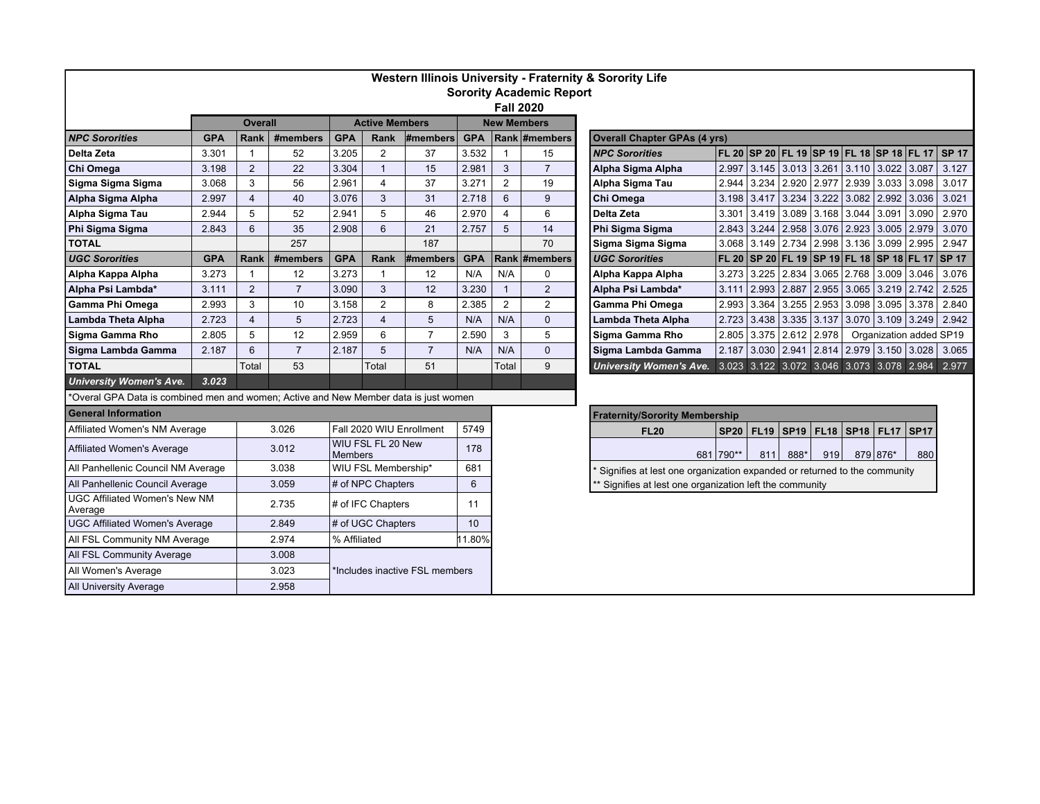| Western Illinois University - Fraternity & Sorority Life                             |                                |                |                |                                |                              |                |                             |                  |                |  |                                                                          |             |     |                         |                                                 |               |                         |        |                                                 |  |  |
|--------------------------------------------------------------------------------------|--------------------------------|----------------|----------------|--------------------------------|------------------------------|----------------|-----------------------------|------------------|----------------|--|--------------------------------------------------------------------------|-------------|-----|-------------------------|-------------------------------------------------|---------------|-------------------------|--------|-------------------------------------------------|--|--|
| <b>Sorority Academic Report</b>                                                      |                                |                |                |                                |                              |                |                             |                  |                |  |                                                                          |             |     |                         |                                                 |               |                         |        |                                                 |  |  |
|                                                                                      |                                |                |                |                                |                              |                |                             | <b>Fall 2020</b> |                |  |                                                                          |             |     |                         |                                                 |               |                         |        |                                                 |  |  |
|                                                                                      | <b>Overall</b>                 |                |                | <b>Active Members</b>          |                              |                | <b>New Members</b>          |                  |                |  |                                                                          |             |     |                         |                                                 |               |                         |        |                                                 |  |  |
| <b>NPC Sororities</b>                                                                | Rank<br>#members<br><b>GPA</b> |                |                | <b>GPA</b><br>#members<br>Rank |                              |                | Rank #members<br><b>GPA</b> |                  |                |  | <b>Overall Chapter GPAs (4 yrs)</b>                                      |             |     |                         |                                                 |               |                         |        |                                                 |  |  |
| Delta Zeta                                                                           | 3.301                          | $\overline{1}$ | 52             | 3.205                          | 2                            | 37             | 3.532                       | $\overline{1}$   | 15             |  | <b>NPC Sororities</b>                                                    |             |     |                         | FL 20  SP 20  FL 19  SP 19  FL 18  SP 18  FL 17 |               |                         |        | <b>SP 17</b>                                    |  |  |
| Chi Omega                                                                            | 3.198                          | $\overline{2}$ | 22             | 3.304                          | $\overline{1}$               | 15             | 2.981                       | $\mathbf{3}$     | $\overline{7}$ |  | Alpha Sigma Alpha                                                        |             |     |                         | 2.997 3.145 3.013 3.261 3.110 3.022 3.087       |               |                         |        | 3.127                                           |  |  |
| Sigma Sigma Sigma                                                                    | 3.068                          | 3              | 56             | 2.961                          | $\overline{4}$               | 37             | 3.271                       | $\overline{2}$   | 19             |  | Alpha Sigma Tau                                                          | 2.944       |     |                         | $3.234$ $2.920$ $2.977$ $2.939$ $3.033$ $3.098$ |               |                         |        | 3.017                                           |  |  |
| Alpha Sigma Alpha                                                                    | 2.997                          | $\overline{4}$ | 40             | 3.076                          | 3                            | 31             | 2.718                       | 6                | 9              |  | Chi Omega                                                                | 3.198       |     | $3.417$ 3.234 3.222     |                                                 |               | $3.082$   2.992   3.036 |        | 3.021                                           |  |  |
| Alpha Sigma Tau                                                                      | 2.944                          | 5              | 52             | 2.941                          | 5                            | 46             | 2.970                       | $\overline{4}$   | 6              |  | Delta Zeta                                                               | 3.301       |     |                         | 3.419 3.089 3.168                               | $3.044$ 3.091 |                         | 3.090  | 2.970                                           |  |  |
| Phi Sigma Sigma                                                                      | 2.843                          | 6              | 35             | 2.908                          | 6                            | 21             | 2.757                       | 5                | 14             |  | Phi Sigma Sigma                                                          | 2.843       |     |                         | 3.244 2.958 3.076                               | 2.923 3.005   |                         | 12.979 | 3.070                                           |  |  |
| <b>TOTAL</b>                                                                         |                                |                | 257            |                                |                              | 187            |                             |                  | 70             |  | Sigma Sigma Sigma                                                        | 3.068       |     |                         | 3.149   2.734   2.998   3.136   3.099   2.995   |               |                         |        | 2.947                                           |  |  |
| <b>UGC Sororities</b>                                                                | <b>GPA</b>                     | Rank           | #members       | <b>GPA</b>                     | <b>Rank</b>                  | #members       | <b>GPA</b>                  |                  | Rank #members  |  | <b>UGC Sororities</b>                                                    |             |     |                         |                                                 |               |                         |        | FL 20 SP 20 FL 19 SP 19 FL 18 SP 18 FL 17 SP 17 |  |  |
| Alpha Kappa Alpha                                                                    | 3.273                          | $\overline{1}$ | 12             | 3.273                          | $\overline{\mathbf{1}}$      | 12             | N/A                         | N/A              | 0              |  | Alpha Kappa Alpha                                                        |             |     |                         | 3.273 3.225 2.834 3.065 2.768 3.009 3.046       |               |                         |        | 3.076                                           |  |  |
| Alpha Psi Lambda*                                                                    | 3.111                          | 2              | $\overline{7}$ | 3.090                          | 3                            | 12             | 3.230                       | $\overline{1}$   | $\overline{2}$ |  | Alpha Psi Lambda*                                                        | 3.111       |     |                         | 2.993 2.887 2.955                               |               | 3.065 3.219 2.742       |        | 2.525                                           |  |  |
| Gamma Phi Omega                                                                      | 2.993                          | 3              | 10             | 3.158                          | $\overline{2}$               | 8              | 2.385                       | $\overline{2}$   | $\overline{2}$ |  | Gamma Phi Omega                                                          | 2.993       |     | $3.364$ $3.255$ $2.953$ |                                                 |               | $3.098$ 3.095 3.378     |        | 2.840                                           |  |  |
| Lambda Theta Alpha                                                                   | 2.723                          | $\overline{4}$ | 5              | 2.723                          | $\overline{4}$               | 5              | N/A                         | N/A              | $\mathbf{0}$   |  | Lambda Theta Alpha                                                       | 2.723       |     | 3.438 3.335 3.137       |                                                 |               | 3.070 3.109 3.249       |        | 2.942                                           |  |  |
| Sigma Gamma Rho                                                                      | 2.805                          | 5              | 12             | 2.959                          | 6                            | $\overline{7}$ | 2.590                       | 3                | 5              |  | Sigma Gamma Rho                                                          | 2.805       |     | $3.375$ 2.612 2.978     |                                                 |               | Organization added SP19 |        |                                                 |  |  |
| Sigma Lambda Gamma                                                                   | 2.187                          | 6              | $\overline{7}$ | 2.187                          | 5                            | $\overline{7}$ | N/A                         | N/A              | $\overline{0}$ |  | Sigma Lambda Gamma                                                       |             |     | 2.187 3.030 2.941 2.814 |                                                 |               | 2.979 3.150 3.028       |        | 3.065                                           |  |  |
| <b>TOTAL</b>                                                                         |                                | Total          | 53             |                                | Total                        | 51             |                             | Total            | 9              |  | University Women's Ave. 3.023 3.122 3.072 3.046 3.073 3.078 2.984 2.977  |             |     |                         |                                                 |               |                         |        |                                                 |  |  |
| <b>University Women's Ave.</b>                                                       | 3.023                          |                |                |                                |                              |                |                             |                  |                |  |                                                                          |             |     |                         |                                                 |               |                         |        |                                                 |  |  |
| *Overal GPA Data is combined men and women; Active and New Member data is just women |                                |                |                |                                |                              |                |                             |                  |                |  |                                                                          |             |     |                         |                                                 |               |                         |        |                                                 |  |  |
| <b>General Information</b>                                                           |                                |                |                |                                |                              |                |                             |                  |                |  | <b>Fraternity/Sorority Membership</b>                                    |             |     |                         |                                                 |               |                         |        |                                                 |  |  |
| Affiliated Women's NM Average                                                        |                                | 3.026          |                | Fall 2020 WIU Enrollment       |                              |                | 5749                        |                  |                |  | <b>FL20</b>                                                              | <b>SP20</b> |     | $FL19$ SP19 FL18        |                                                 |               | SP18   FL17   SP17      |        |                                                 |  |  |
| Affiliated Women's Average                                                           |                                |                | 3.012          |                                | WIU FSL FL 20 New<br>Members |                | 178                         |                  |                |  |                                                                          | 681 790**   | 811 | 888*                    | 919                                             |               | 879 876*                | 880    |                                                 |  |  |
| All Panhellenic Council NM Average                                                   |                                |                | 3.038          |                                | WIU FSL Membership*          |                |                             |                  |                |  | Signifies at lest one organization expanded or returned to the community |             |     |                         |                                                 |               |                         |        |                                                 |  |  |
| All Panhellenic Council Average                                                      |                                |                | 3.059          |                                | # of NPC Chapters            |                | 6                           |                  |                |  | Signifies at lest one organization left the community                    |             |     |                         |                                                 |               |                         |        |                                                 |  |  |
| <b>UGC Affiliated Women's New NM</b><br>Average                                      |                                |                | 2.735          | # of IFC Chapters              |                              | 11             |                             |                  |                |  |                                                                          |             |     |                         |                                                 |               |                         |        |                                                 |  |  |
| <b>UGC Affiliated Women's Average</b>                                                |                                |                | 2.849          | # of UGC Chapters              |                              |                | 10                          |                  |                |  |                                                                          |             |     |                         |                                                 |               |                         |        |                                                 |  |  |
| All FSL Community NM Average                                                         |                                |                | 2.974          | % Affiliated                   |                              |                | 11.80%                      |                  |                |  |                                                                          |             |     |                         |                                                 |               |                         |        |                                                 |  |  |
| All FSL Community Average                                                            |                                |                | 3.008          |                                |                              |                |                             |                  |                |  |                                                                          |             |     |                         |                                                 |               |                         |        |                                                 |  |  |
| All Women's Average                                                                  |                                |                | 3.023          | *Includes inactive FSL members |                              |                |                             |                  |                |  |                                                                          |             |     |                         |                                                 |               |                         |        |                                                 |  |  |
| <b>All University Average</b>                                                        |                                |                | 2.958          |                                |                              |                |                             |                  |                |  |                                                                          |             |     |                         |                                                 |               |                         |        |                                                 |  |  |